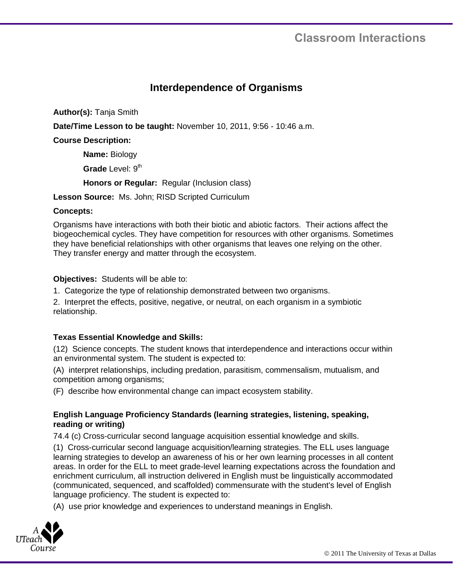# **Classroom Interactions**

# **Interdependence of Organisms**

**Author(s):** Tanja Smith

**Date/Time Lesson to be taught:** November 10, 2011, 9:56 - 10:46 a.m.

**Course Description:** 

**Name:** Biology

**Grade** Level: 9<sup>th</sup>

**Honors or Regular:** Regular (Inclusion class)

**Lesson Source:** Ms. John; RISD Scripted Curriculum

#### **Concepts:**

Organisms have interactions with both their biotic and abiotic factors. Their actions affect the biogeochemical cycles. They have competition for resources with other organisms. Sometimes they have beneficial relationships with other organisms that leaves one relying on the other. They transfer energy and matter through the ecosystem.

#### **Objectives:** Students will be able to:

1. Categorize the type of relationship demonstrated between two organisms.

2. Interpret the effects, positive, negative, or neutral, on each organism in a symbiotic relationship.

## **Texas Essential Knowledge and Skills:**

(12) Science concepts. The student knows that interdependence and interactions occur within an environmental system. The student is expected to:

(A) interpret relationships, including predation, parasitism, commensalism, mutualism, and competition among organisms;

(F) describe how environmental change can impact ecosystem stability.

# **English Language Proficiency Standards (learning strategies, listening, speaking, reading or writing)**

74.4 (c) Cross-curricular second language acquisition essential knowledge and skills.

(1) Cross-curricular second language acquisition/learning strategies. The ELL uses language learning strategies to develop an awareness of his or her own learning processes in all content areas. In order for the ELL to meet grade-level learning expectations across the foundation and enrichment curriculum, all instruction delivered in English must be linguistically accommodated (communicated, sequenced, and scaffolded) commensurate with the student's level of English language proficiency. The student is expected to:

(A) use prior knowledge and experiences to understand meanings in English.

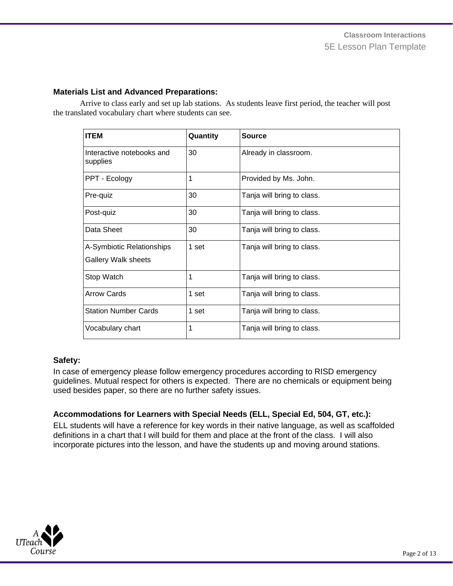#### **Materials List and Advanced Preparations:**

Arrive to class early and set up lab stations. As students leave first period, the teacher will post the translated vocabulary chart where students can see.

| <b>ITEM</b>                                             | Quantity | Source                     |
|---------------------------------------------------------|----------|----------------------------|
| Interactive notebooks and<br>supplies                   | 30       | Already in classroom.      |
| PPT - Ecology                                           | 1        | Provided by Ms. John.      |
| Pre-quiz                                                | 30       | Tanja will bring to class. |
| Post-quiz                                               | 30       | Tanja will bring to class. |
| Data Sheet                                              | 30       | Tanja will bring to class. |
| A-Symbiotic Relationships<br><b>Gallery Walk sheets</b> | 1 set    | Tanja will bring to class. |
| Stop Watch                                              | 1        | Tanja will bring to class. |
| <b>Arrow Cards</b>                                      | 1 set    | Tanja will bring to class. |
| <b>Station Number Cards</b>                             | 1 set    | Tanja will bring to class. |
| Vocabulary chart                                        | 1        | Tanja will bring to class. |

## **Safety:**

In case of emergency please follow emergency procedures according to RISD emergency guidelines. Mutual respect for others is expected. There are no chemicals or equipment being used besides paper, so there are no further safety issues.

## **Accommodations for Learners with Special Needs (ELL, Special Ed, 504, GT, etc.):**

ELL students will have a reference for key words in their native language, as well as scaffolded definitions in a chart that I will build for them and place at the front of the class. I will also incorporate pictures into the lesson, and have the students up and moving around stations.

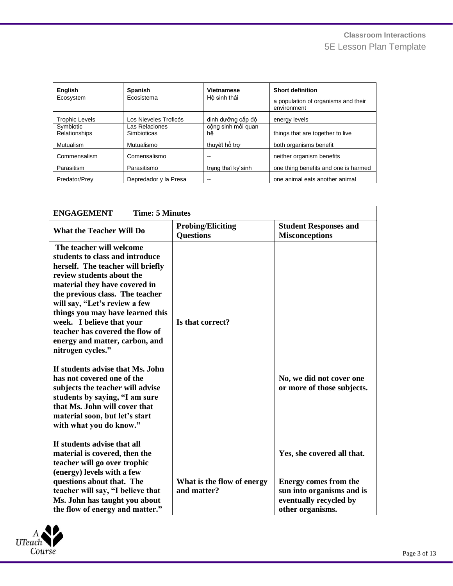| English                    | <b>Spanish</b>                       | <b>Vietnamese</b>        | <b>Short definition</b>                            |
|----------------------------|--------------------------------------|--------------------------|----------------------------------------------------|
| Ecosystem                  | Ecosistema                           | Hê sinh thái             | a population of organisms and their<br>environment |
| <b>Trophic Levels</b>      | Los Nieveles Troficós                | dinh dưỡng cấp độ        | energy levels                                      |
| Symbiotic<br>Relationships | Las Relaciones<br><b>Simbioticas</b> | công sinh mối quan<br>hê | things that are together to live                   |
| Mutualism                  | Mutualismo                           | thuyệt hổ trợ            | both organisms benefit                             |
| Commensalism               | Comensalismo                         |                          | neither organism benefits                          |
| Parasitism                 | Parasitismo                          | trang thai ky'sinh       | one thing benefits and one is harmed               |
| Predator/Prey              | Depredador y la Presa                | --                       | one animal eats another animal                     |

| <b>ENGAGEMENT</b><br><b>Time: 5 Minutes</b>                                                                                                                                                                                                                                                                                                                                                                                                                                                                                                                                                                                         |                                              |                                                                                                  |  |
|-------------------------------------------------------------------------------------------------------------------------------------------------------------------------------------------------------------------------------------------------------------------------------------------------------------------------------------------------------------------------------------------------------------------------------------------------------------------------------------------------------------------------------------------------------------------------------------------------------------------------------------|----------------------------------------------|--------------------------------------------------------------------------------------------------|--|
| <b>What the Teacher Will Do</b>                                                                                                                                                                                                                                                                                                                                                                                                                                                                                                                                                                                                     | <b>Probing/Eliciting</b><br><b>Questions</b> | <b>Student Responses and</b><br><b>Misconceptions</b>                                            |  |
| The teacher will welcome<br>students to class and introduce<br>herself. The teacher will briefly<br>review students about the<br>material they have covered in<br>the previous class. The teacher<br>will say, "Let's review a few<br>things you may have learned this<br>week. I believe that your<br>teacher has covered the flow of<br>energy and matter, carbon, and<br>nitrogen cycles."<br>If students advise that Ms. John<br>has not covered one of the<br>subjects the teacher will advise<br>students by saying, "I am sure<br>that Ms. John will cover that<br>material soon, but let's start<br>with what you do know." | Is that correct?                             | No, we did not cover one<br>or more of those subjects.                                           |  |
| If students advise that all<br>material is covered, then the<br>teacher will go over trophic                                                                                                                                                                                                                                                                                                                                                                                                                                                                                                                                        |                                              | Yes, she covered all that.                                                                       |  |
| (energy) levels with a few<br>questions about that. The<br>teacher will say, "I believe that<br>Ms. John has taught you about<br>the flow of energy and matter."                                                                                                                                                                                                                                                                                                                                                                                                                                                                    | What is the flow of energy<br>and matter?    | Energy comes from the<br>sun into organisms and is<br>eventually recycled by<br>other organisms. |  |

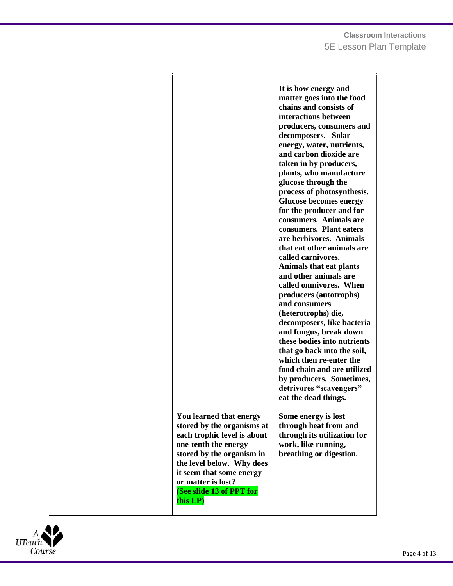| You learned that energy<br>stored by the organisms at<br>each trophic level is about<br>one-tenth the energy<br>stored by the organism in<br>the level below. Why does<br>it seem that some energy<br>or matter is lost?<br>(See slide 13 of PPT for | It is how energy and<br>matter goes into the food<br>chains and consists of<br>interactions between<br>producers, consumers and<br>decomposers. Solar<br>energy, water, nutrients,<br>and carbon dioxide are<br>taken in by producers,<br>plants, who manufacture<br>glucose through the<br>process of photosynthesis.<br><b>Glucose becomes energy</b><br>for the producer and for<br>consumers. Animals are<br>consumers. Plant eaters<br>are herbivores. Animals<br>that eat other animals are<br>called carnivores.<br><b>Animals that eat plants</b><br>and other animals are<br>called omnivores. When<br>producers (autotrophs)<br>and consumers<br>(heterotrophs) die,<br>decomposers, like bacteria<br>and fungus, break down<br>these bodies into nutrients<br>that go back into the soil,<br>which then re-enter the<br>food chain and are utilized<br>by producers. Sometimes,<br>detrivores "scavengers"<br>eat the dead things.<br>Some energy is lost<br>through heat from and<br>through its utilization for<br>work, like running,<br>breathing or digestion. |
|------------------------------------------------------------------------------------------------------------------------------------------------------------------------------------------------------------------------------------------------------|--------------------------------------------------------------------------------------------------------------------------------------------------------------------------------------------------------------------------------------------------------------------------------------------------------------------------------------------------------------------------------------------------------------------------------------------------------------------------------------------------------------------------------------------------------------------------------------------------------------------------------------------------------------------------------------------------------------------------------------------------------------------------------------------------------------------------------------------------------------------------------------------------------------------------------------------------------------------------------------------------------------------------------------------------------------------------------|
| this LP)                                                                                                                                                                                                                                             |                                                                                                                                                                                                                                                                                                                                                                                                                                                                                                                                                                                                                                                                                                                                                                                                                                                                                                                                                                                                                                                                                |

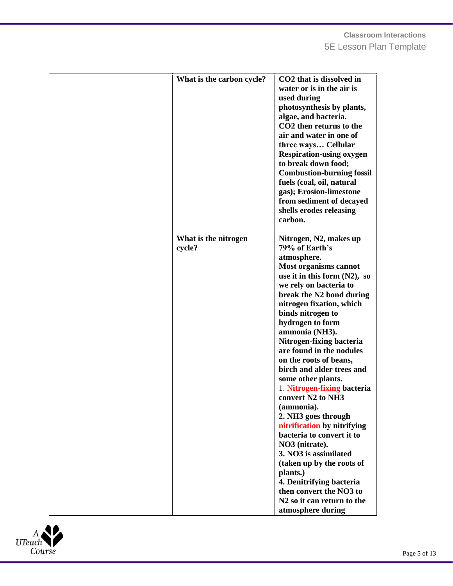| What is the carbon cycle?      | CO2 that is dissolved in<br>water or is in the air is<br>used during<br>photosynthesis by plants,<br>algae, and bacteria.<br>CO <sub>2</sub> then returns to the<br>air and water in one of<br>three ways Cellular<br><b>Respiration-using oxygen</b><br>to break down food;<br><b>Combustion-burning fossil</b><br>fuels (coal, oil, natural<br>gas); Erosion-limestone<br>from sediment of decayed<br>shells erodes releasing<br>carbon.                                                                                                                                                                                                                                                                                                                           |
|--------------------------------|----------------------------------------------------------------------------------------------------------------------------------------------------------------------------------------------------------------------------------------------------------------------------------------------------------------------------------------------------------------------------------------------------------------------------------------------------------------------------------------------------------------------------------------------------------------------------------------------------------------------------------------------------------------------------------------------------------------------------------------------------------------------|
| What is the nitrogen<br>cycle? | Nitrogen, N2, makes up<br>79% of Earth's<br>atmosphere.<br>Most organisms cannot<br>use it in this form $(N2)$ , so<br>we rely on bacteria to<br>break the N2 bond during<br>nitrogen fixation, which<br>binds nitrogen to<br>hydrogen to form<br>ammonia (NH3).<br>Nitrogen-fixing bacteria<br>are found in the nodules<br>on the roots of beans,<br>birch and alder trees and<br>some other plants.<br>1. Nitrogen-fixing bacteria<br>convert N2 to NH3<br>(ammonia).<br>2. NH3 goes through<br>nitrification by nitrifying<br>bacteria to convert it to<br>NO3 (nitrate).<br>3. NO3 is assimilated<br>(taken up by the roots of<br>plants.)<br>4. Denitrifying bacteria<br>then convert the NO3 to<br>N <sub>2</sub> so it can return to the<br>atmosphere during |

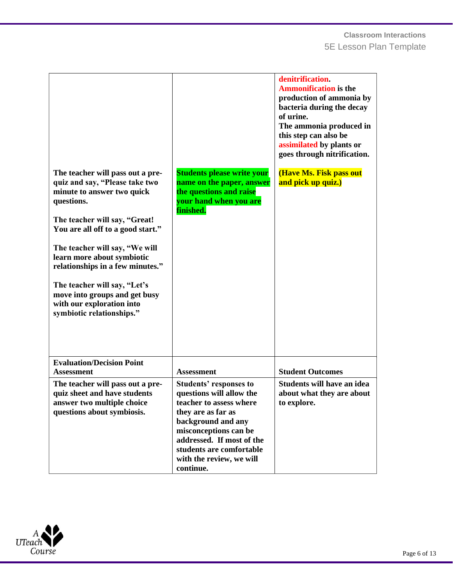| The teacher will pass out a pre-<br>quiz and say, "Please take two<br>minute to answer two quick<br>questions.<br>The teacher will say, "Great!<br>You are all off to a good start."<br>The teacher will say, "We will<br>learn more about symbiotic<br>relationships in a few minutes."<br>The teacher will say, "Let's<br>move into groups and get busy<br>with our exploration into<br>symbiotic relationships." | <b>Students please write your</b><br>name on the paper, answer<br>the questions and raise<br>your hand when you are<br>finished.                                                                                                                            | denitrification.<br><b>Ammonification is the</b><br>production of ammonia by<br>bacteria during the decay<br>of urine.<br>The ammonia produced in<br>this step can also be<br>assimilated by plants or<br>goes through nitrification.<br>(Have Ms. Fisk pass out<br>and pick up quiz.) |
|---------------------------------------------------------------------------------------------------------------------------------------------------------------------------------------------------------------------------------------------------------------------------------------------------------------------------------------------------------------------------------------------------------------------|-------------------------------------------------------------------------------------------------------------------------------------------------------------------------------------------------------------------------------------------------------------|----------------------------------------------------------------------------------------------------------------------------------------------------------------------------------------------------------------------------------------------------------------------------------------|
| <b>Evaluation/Decision Point</b><br><b>Assessment</b>                                                                                                                                                                                                                                                                                                                                                               | <b>Assessment</b>                                                                                                                                                                                                                                           | <b>Student Outcomes</b>                                                                                                                                                                                                                                                                |
| The teacher will pass out a pre-<br>quiz sheet and have students<br>answer two multiple choice<br>questions about symbiosis.                                                                                                                                                                                                                                                                                        | <b>Students' responses to</b><br>questions will allow the<br>teacher to assess where<br>they are as far as<br>background and any<br>misconceptions can be<br>addressed. If most of the<br>students are comfortable<br>with the review, we will<br>continue. | Students will have an idea<br>about what they are about<br>to explore.                                                                                                                                                                                                                 |

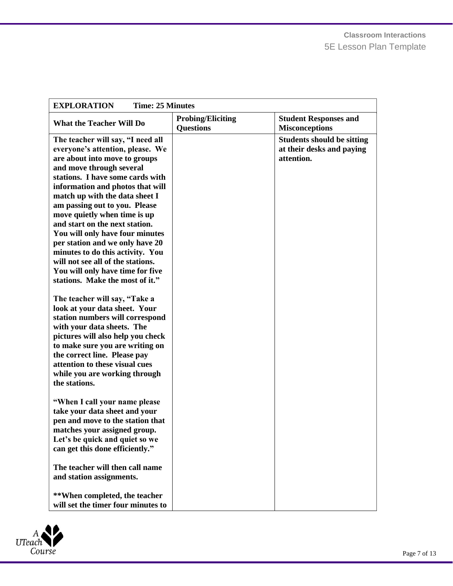| <b>EXPLORATION</b><br><b>Time: 25 Minutes</b>                                                                                                                                                                                                                                                                                                                                                                                                                                                                                                                         |                                              |                                                                              |  |
|-----------------------------------------------------------------------------------------------------------------------------------------------------------------------------------------------------------------------------------------------------------------------------------------------------------------------------------------------------------------------------------------------------------------------------------------------------------------------------------------------------------------------------------------------------------------------|----------------------------------------------|------------------------------------------------------------------------------|--|
| <b>What the Teacher Will Do</b>                                                                                                                                                                                                                                                                                                                                                                                                                                                                                                                                       | <b>Probing/Eliciting</b><br><b>Questions</b> | <b>Student Responses and</b><br><b>Misconceptions</b>                        |  |
| The teacher will say, "I need all<br>everyone's attention, please. We<br>are about into move to groups<br>and move through several<br>stations. I have some cards with<br>information and photos that will<br>match up with the data sheet I<br>am passing out to you. Please<br>move quietly when time is up<br>and start on the next station.<br>You will only have four minutes<br>per station and we only have 20<br>minutes to do this activity. You<br>will not see all of the stations.<br>You will only have time for five<br>stations. Make the most of it." |                                              | <b>Students should be sitting</b><br>at their desks and paying<br>attention. |  |
| The teacher will say, "Take a<br>look at your data sheet. Your<br>station numbers will correspond<br>with your data sheets. The<br>pictures will also help you check<br>to make sure you are writing on<br>the correct line. Please pay<br>attention to these visual cues<br>while you are working through<br>the stations.                                                                                                                                                                                                                                           |                                              |                                                                              |  |
| "When I call your name please<br>take your data sheet and your<br>pen and move to the station that<br>matches your assigned group.<br>Let's be quick and quiet so we<br>can get this done efficiently."                                                                                                                                                                                                                                                                                                                                                               |                                              |                                                                              |  |
| The teacher will then call name<br>and station assignments.                                                                                                                                                                                                                                                                                                                                                                                                                                                                                                           |                                              |                                                                              |  |
| **When completed, the teacher<br>will set the timer four minutes to                                                                                                                                                                                                                                                                                                                                                                                                                                                                                                   |                                              |                                                                              |  |

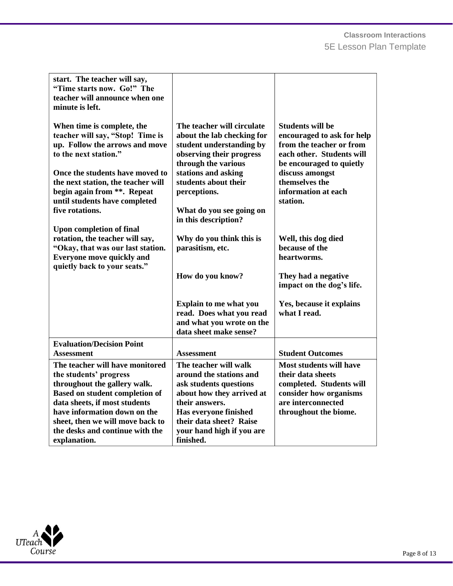| start. The teacher will say,<br>"Time starts now. Go!" The<br>teacher will announce when one<br>minute is left.                                                                                                                                                                            |                                                                                                                                                                                                                                |                                                                                                                                                          |
|--------------------------------------------------------------------------------------------------------------------------------------------------------------------------------------------------------------------------------------------------------------------------------------------|--------------------------------------------------------------------------------------------------------------------------------------------------------------------------------------------------------------------------------|----------------------------------------------------------------------------------------------------------------------------------------------------------|
| When time is complete, the<br>teacher will say, "Stop! Time is<br>up. Follow the arrows and move<br>to the next station."                                                                                                                                                                  | The teacher will circulate<br>about the lab checking for<br>student understanding by<br>observing their progress<br>through the various                                                                                        | <b>Students will be</b><br>encouraged to ask for help<br>from the teacher or from<br>each other. Students will<br>be encouraged to quietly               |
| Once the students have moved to<br>the next station, the teacher will<br>begin again from **. Repeat<br>until students have completed                                                                                                                                                      | stations and asking<br>students about their<br>perceptions.                                                                                                                                                                    | discuss amongst<br>themselves the<br>information at each<br>station.                                                                                     |
| five rotations.<br><b>Upon completion of final</b>                                                                                                                                                                                                                                         | What do you see going on<br>in this description?                                                                                                                                                                               |                                                                                                                                                          |
| rotation, the teacher will say,<br>"Okay, that was our last station.<br><b>Everyone move quickly and</b><br>quietly back to your seats."                                                                                                                                                   | Why do you think this is<br>parasitism, etc.                                                                                                                                                                                   | Well, this dog died<br>because of the<br>heartworms.                                                                                                     |
|                                                                                                                                                                                                                                                                                            | How do you know?                                                                                                                                                                                                               | They had a negative<br>impact on the dog's life.                                                                                                         |
|                                                                                                                                                                                                                                                                                            | <b>Explain to me what you</b><br>read. Does what you read<br>and what you wrote on the<br>data sheet make sense?                                                                                                               | Yes, because it explains<br>what I read.                                                                                                                 |
| <b>Evaluation/Decision Point</b><br><b>Assessment</b>                                                                                                                                                                                                                                      | <b>Assessment</b>                                                                                                                                                                                                              | <b>Student Outcomes</b>                                                                                                                                  |
| The teacher will have monitored<br>the students' progress<br>throughout the gallery walk.<br><b>Based on student completion of</b><br>data sheets, if most students<br>have information down on the<br>sheet, then we will move back to<br>the desks and continue with the<br>explanation. | The teacher will walk<br>around the stations and<br>ask students questions<br>about how they arrived at<br>their answers.<br><b>Has everyone finished</b><br>their data sheet? Raise<br>your hand high if you are<br>finished. | <b>Most students will have</b><br>their data sheets<br>completed. Students will<br>consider how organisms<br>are interconnected<br>throughout the biome. |

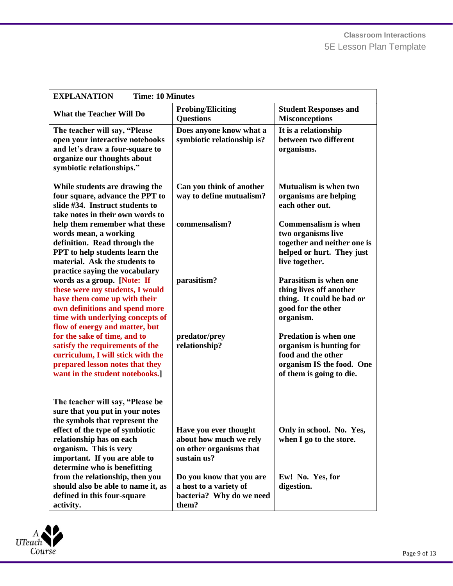| <b>EXPLANATION</b><br><b>Time: 10 Minutes</b>                                                                                                                                                          |                                                                                         |                                                                                                                                        |
|--------------------------------------------------------------------------------------------------------------------------------------------------------------------------------------------------------|-----------------------------------------------------------------------------------------|----------------------------------------------------------------------------------------------------------------------------------------|
|                                                                                                                                                                                                        |                                                                                         |                                                                                                                                        |
| <b>What the Teacher Will Do</b>                                                                                                                                                                        | <b>Probing/Eliciting</b><br><b>Questions</b>                                            | <b>Student Responses and</b><br><b>Misconceptions</b>                                                                                  |
| The teacher will say, "Please<br>open your interactive notebooks<br>and let's draw a four-square to<br>organize our thoughts about<br>symbiotic relationships."                                        | Does anyone know what a<br>symbiotic relationship is?                                   | It is a relationship<br>between two different<br>organisms.                                                                            |
| While students are drawing the<br>four square, advance the PPT to<br>slide #34. Instruct students to<br>take notes in their own words to                                                               | Can you think of another<br>way to define mutualism?                                    | Mutualism is when two<br>organisms are helping<br>each other out.                                                                      |
| help them remember what these<br>words mean, a working<br>definition. Read through the<br>PPT to help students learn the<br>material. Ask the students to<br>practice saying the vocabulary            | commensalism?                                                                           | <b>Commensalism is when</b><br>two organisms live<br>together and neither one is<br>helped or hurt. They just<br>live together.        |
| words as a group. [Note: If<br>these were my students, I would<br>have them come up with their<br>own definitions and spend more<br>time with underlying concepts of<br>flow of energy and matter, but | parasitism?                                                                             | <b>Parasitism is when one</b><br>thing lives off another<br>thing. It could be bad or<br>good for the other<br>organism.               |
| for the sake of time, and to<br>satisfy the requirements of the<br>curriculum, I will stick with the<br>prepared lesson notes that they<br>want in the student notebooks.]                             | predator/prey<br>relationship?                                                          | <b>Predation is when one</b><br>organism is hunting for<br>food and the other<br>organism IS the food. One<br>of them is going to die. |
| The teacher will say, "Please be<br>sure that you put in your notes<br>the symbols that represent the<br>effect of the type of symbiotic                                                               | Have you ever thought                                                                   | Only in school. No. Yes,                                                                                                               |
| relationship has on each<br>organism. This is very<br>important. If you are able to<br>determine who is benefitting                                                                                    | about how much we rely<br>on other organisms that<br>sustain us?                        | when I go to the store.                                                                                                                |
| from the relationship, then you<br>should also be able to name it, as<br>defined in this four-square<br>activity.                                                                                      | Do you know that you are<br>a host to a variety of<br>bacteria? Why do we need<br>them? | Ew! No. Yes, for<br>digestion.                                                                                                         |

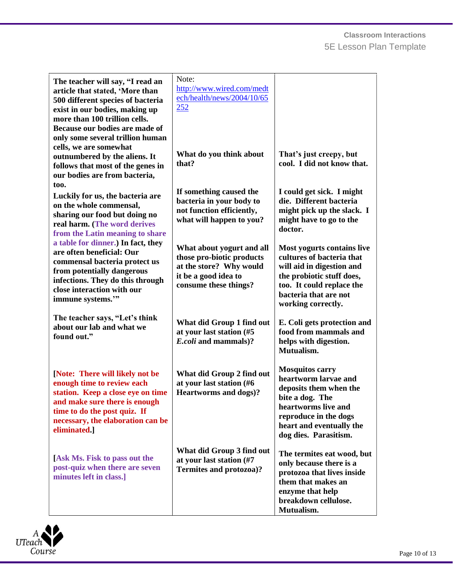| The teacher will say, "I read an<br>article that stated, 'More than<br>500 different species of bacteria<br>exist in our bodies, making up<br>more than 100 trillion cells.<br>Because our bodies are made of            | Note:<br>http://www.wired.com/medt<br>ech/health/news/2004/10/65<br>252                                                            |                                                                                                                                                                                                  |
|--------------------------------------------------------------------------------------------------------------------------------------------------------------------------------------------------------------------------|------------------------------------------------------------------------------------------------------------------------------------|--------------------------------------------------------------------------------------------------------------------------------------------------------------------------------------------------|
| only some several trillion human<br>cells, we are somewhat<br>outnumbered by the aliens. It<br>follows that most of the genes in<br>our bodies are from bacteria,<br>too.                                                | What do you think about<br>that?                                                                                                   | That's just creepy, but<br>cool. I did not know that.                                                                                                                                            |
| Luckily for us, the bacteria are<br>on the whole commensal,<br>sharing our food but doing no<br>real harm. (The word derives<br>from the Latin meaning to share                                                          | If something caused the<br>bacteria in your body to<br>not function efficiently,<br>what will happen to you?                       | I could get sick. I might<br>die. Different bacteria<br>might pick up the slack. I<br>might have to go to the<br>doctor.                                                                         |
| a table for dinner.) In fact, they<br>are often beneficial: Our<br>commensal bacteria protect us<br>from potentially dangerous<br>infections. They do this through<br>close interaction with our<br>immune systems.""    | What about yogurt and all<br>those pro-biotic products<br>at the store? Why would<br>it be a good idea to<br>consume these things? | Most yogurts contains live<br>cultures of bacteria that<br>will aid in digestion and<br>the probiotic stuff does,<br>too. It could replace the<br>bacteria that are not<br>working correctly.    |
| The teacher says, "Let's think<br>about our lab and what we<br>found out."                                                                                                                                               | What did Group 1 find out<br>at your last station (#5<br>E.coli and mammals)?                                                      | E. Coli gets protection and<br>food from mammals and<br>helps with digestion.<br>Mutualism.                                                                                                      |
| [Note: There will likely not be<br>enough time to review each<br>station. Keep a close eye on time<br>and make sure there is enough<br>time to do the post quiz. If<br>necessary, the elaboration can be<br>eliminated.] | What did Group 2 find out<br>at your last station (#6<br><b>Heartworms and dogs)?</b>                                              | <b>Mosquitos carry</b><br>heartworm larvae and<br>deposits them when the<br>bite a dog. The<br>heartworms live and<br>reproduce in the dogs<br>heart and eventually the<br>dog dies. Parasitism. |
| [Ask Ms. Fisk to pass out the<br>post-quiz when there are seven<br>minutes left in class.]                                                                                                                               | What did Group 3 find out<br>at your last station (#7<br><b>Termites and protozoa)?</b>                                            | The termites eat wood, but<br>only because there is a<br>protozoa that lives inside<br>them that makes an<br>enzyme that help<br>breakdown cellulose.<br>Mutualism.                              |

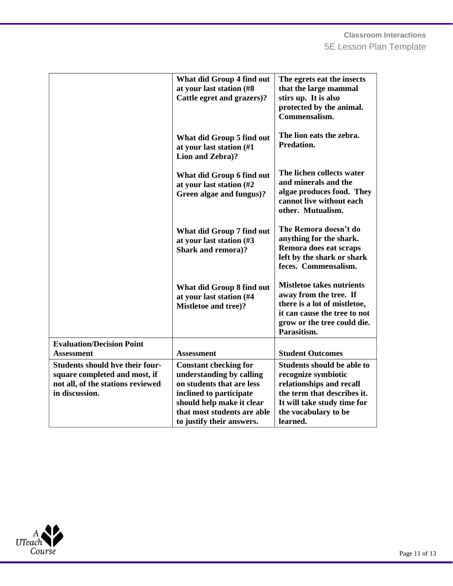|                                        | What did Group 4 find out<br>at your last station (#8) | The egrets eat the insects<br>that the large mammal          |
|----------------------------------------|--------------------------------------------------------|--------------------------------------------------------------|
|                                        | Cattle egret and grazers)?                             | stirs up. It is also                                         |
|                                        |                                                        | protected by the animal.                                     |
|                                        |                                                        | Commensalism.                                                |
|                                        |                                                        |                                                              |
|                                        | What did Group 5 find out                              | The lion eats the zebra.                                     |
|                                        | at your last station (#1                               | Predation.                                                   |
|                                        | Lion and Zebra)?                                       |                                                              |
|                                        |                                                        |                                                              |
|                                        | What did Group 6 find out                              | The lichen collects water                                    |
|                                        | at your last station (#2)                              | and minerals and the                                         |
|                                        | Green algae and fungus)?                               | algae produces food. They<br>cannot live without each        |
|                                        |                                                        | other. Mutualism.                                            |
|                                        |                                                        |                                                              |
|                                        | What did Group 7 find out                              | The Remora doesn't do                                        |
|                                        | at your last station (#3                               | anything for the shark.                                      |
|                                        | <b>Shark and remora)?</b>                              | Remora does eat scraps                                       |
|                                        |                                                        | left by the shark or shark                                   |
|                                        |                                                        | feces. Commensalism.                                         |
|                                        |                                                        |                                                              |
|                                        | What did Group 8 find out                              | <b>Mistletoe takes nutrients</b>                             |
|                                        | at your last station (#4                               | away from the tree. If                                       |
|                                        | <b>Mistletoe and tree)?</b>                            | there is a lot of mistletoe,<br>it can cause the tree to not |
|                                        |                                                        | grow or the tree could die.                                  |
|                                        |                                                        | Parasitism.                                                  |
| <b>Evaluation/Decision Point</b>       |                                                        |                                                              |
| <b>Assessment</b>                      | <b>Assessment</b>                                      | <b>Student Outcomes</b>                                      |
| <b>Students should hve their four-</b> | <b>Constant checking for</b>                           | <b>Students should be able to</b>                            |
| square completed and most, if          | understanding by calling                               | recognize symbiotic                                          |
| not all, of the stations reviewed      | on students that are less                              | relationships and recall                                     |
| in discussion.                         | inclined to participate                                | the term that describes it.                                  |
|                                        | should help make it clear                              | It will take study time for                                  |
|                                        | that most students are able                            | the vocabulary to be                                         |
|                                        | to justify their answers.                              | learned.                                                     |

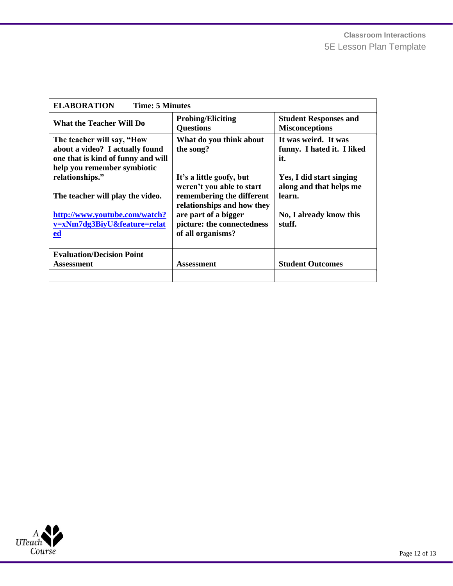| <b>ELABORATION</b><br><b>Time: 5 Minutes</b>                                                                                       |                                                                                                                  |                                                               |  |
|------------------------------------------------------------------------------------------------------------------------------------|------------------------------------------------------------------------------------------------------------------|---------------------------------------------------------------|--|
| <b>What the Teacher Will Do</b>                                                                                                    | <b>Probing/Eliciting</b><br><b>Questions</b>                                                                     | <b>Student Responses and</b><br><b>Misconceptions</b>         |  |
| The teacher will say, "How<br>about a video? I actually found<br>one that is kind of funny and will<br>help you remember symbiotic | What do you think about<br>the song?                                                                             | It was weird. It was<br>funny. I hated it. I liked<br>it.     |  |
| relationships."<br>The teacher will play the video.                                                                                | It's a little goofy, but<br>weren't you able to start<br>remembering the different<br>relationships and how they | Yes, I did start singing<br>along and that helps me<br>learn. |  |
| http://www.youtube.com/watch?<br>v=xNm7dg3BiyU&feature=relat<br>$ed$                                                               | are part of a bigger<br>picture: the connectedness<br>of all organisms?                                          | No, I already know this<br>stuff.                             |  |
| <b>Evaluation/Decision Point</b><br>Assessment                                                                                     | <b>Assessment</b>                                                                                                | <b>Student Outcomes</b>                                       |  |